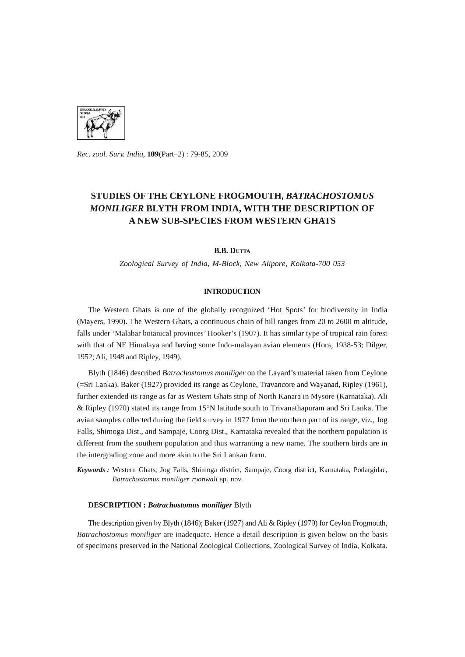

*Rec. zool. Surv. India,* 109(Part-2) : 79-85, 2009

## STUDIES OF THE CEYLONE FROGMOUTH, *BATRACHOSTOMUS MONILIGER* BLYTH FROM INDIA, WITH THE DESCRIPTION OF A NEW SUB-SPECIES FROM WESTERN GHATS

**B.B. DUTTA** 

*Zoological Survey* of *India, M-Block, New Alipore, Kolkata-700 053* 

#### **INTRODUCTION**

The Western Ghats is one of the globally recognized 'Hot Spots' for biodiversity in India (Mayers, 1990). The Western Ghats, a continuous chain of hill ranges from 20 to 2600 m altitude, falls under 'Malabar botanical provinces' Hooker's (1907). It has similar type of tropical rain forest with that of NE Himalaya and having some Indo-malayan avian elements (Hora, 1938-53; Dilger, 1952; Ali, 1948 and Ripley, 1949).

Blyth (1846) described *Batrachostomus moniliger* on the Layard's material taken from Ceylone (=Sri Lanka). Baker (1927) provided its range as Ceylone, Travancore and Wayanad, Ripley (1961), further extended its range as far as Western Ghats strip of North Kanara in Mysore (Karnataka). Ali & Ripley (1970) stated its range from 15°N latitude south to Trivanathapuram and Sri Lanka. The avian samples collected during the field survey in 1977 from the northern part of its range, viz., Jog Falls, Shimoga Dist., and Sampaje, Coorg Dist., Karnataka revealed that the northern population is different from the southern population and thus warranting a new name. The southern birds are in the intergrading zone and more akin to the Sri Lankan form.

*Keywords:* Western Ghats, Jog Falls, Shimoga district, Sampaje, Coorg district, Karnataka, Podargidae, *Batrachostomus moniliger roonwali* sp. nov.

#### DESCRIPTION: *Batrachostomus moniliger* Blyth

The description given by Blyth (1846); Baker (1927) and Ali & Ripley (1970) for Ceylon Frogmouth, *Batrachostomus moniliger* are inadequate. Hence a detail description is given below on the basis of specimens preserved in the National Zoological Collections, Zoological Survey of India, Kolkata.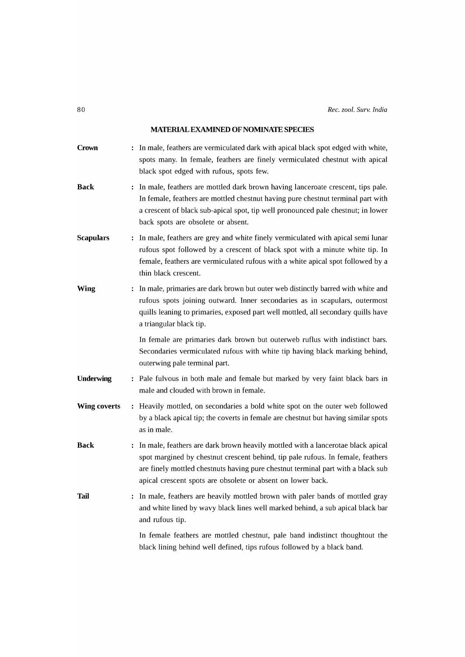## **MATERIAL EXAMINED OF NOMINATE SPECIES**

| <b>Crown</b>        | : In male, feathers are vermiculated dark with apical black spot edged with white,<br>spots many. In female, feathers are finely vermiculated chestnut with apical<br>black spot edged with rufous, spots few.                                                                                                          |
|---------------------|-------------------------------------------------------------------------------------------------------------------------------------------------------------------------------------------------------------------------------------------------------------------------------------------------------------------------|
| <b>Back</b>         | : In male, feathers are mottled dark brown having lanceroate crescent, tips pale.<br>In female, feathers are mottled chestnut having pure chestnut terminal part with<br>a crescent of black sub-apical spot, tip well pronounced pale chestnut; in lower<br>back spots are obsolete or absent.                         |
| <b>Scapulars</b>    | : In male, feathers are grey and white finely vermiculated with apical semi lunar<br>rufous spot followed by a crescent of black spot with a minute white tip. In<br>female, feathers are vermiculated rufous with a white apical spot followed by a<br>thin black crescent.                                            |
| <b>Wing</b>         | : In male, primaries are dark brown but outer web distinctly barred with white and<br>rufous spots joining outward. Inner secondaries as in scapulars, outermost<br>quills leaning to primaries, exposed part well mottled, all secondary quills have<br>a triangular black tip.                                        |
|                     | In female are primaries dark brown but outerweb ruflus with indistinct bars.<br>Secondaries vermiculated rufous with white tip having black marking behind,<br>outerwing pale terminal part.                                                                                                                            |
| <b>Underwing</b>    | : Pale fulvous in both male and female but marked by very faint black bars in<br>male and clouded with brown in female.                                                                                                                                                                                                 |
| <b>Wing coverts</b> | : Heavily mottled, on secondaries a bold white spot on the outer web followed<br>by a black apical tip; the coverts in female are chestnut but having similar spots<br>as in male.                                                                                                                                      |
| <b>Back</b>         | : In male, feathers are dark brown heavily mottled with a lancerotae black apical<br>spot margined by chestnut crescent behind, tip pale rufous. In female, feathers<br>are finely mottled chestnuts having pure chestnut terminal part with a black sub<br>apical crescent spots are obsolete or absent on lower back. |
| Tail                | : In male, feathers are heavily mottled brown with paler bands of mottled gray<br>and white lined by wavy black lines well marked behind, a sub apical black bar<br>and rufous tip.                                                                                                                                     |
|                     | In female feathers are mottled chestnut, pale band indistinct thoughtout the<br>black lining behind well defined, tips rufous followed by a black band.                                                                                                                                                                 |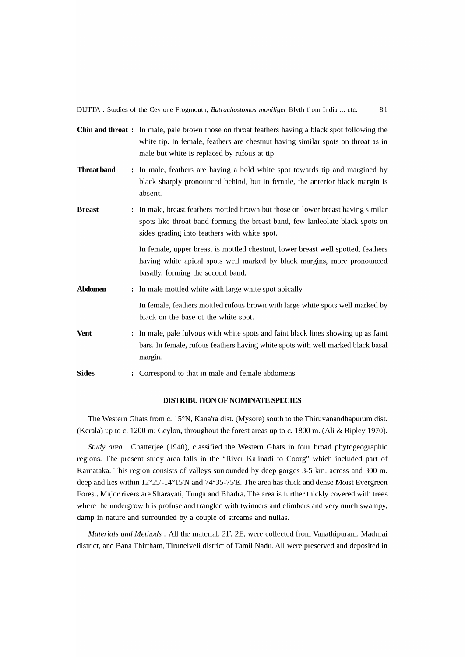|                    | Chin and throat: In male, pale brown those on throat feathers having a black spot following the<br>white tip. In female, feathers are chestnut having similar spots on throat as in<br>male but white is replaced by rufous at tip. |
|--------------------|-------------------------------------------------------------------------------------------------------------------------------------------------------------------------------------------------------------------------------------|
| <b>Throat band</b> | : In male, feathers are having a bold white spot towards tip and margined by<br>black sharply pronounced behind, but in female, the anterior black margin is<br>absent.                                                             |
| <b>Breast</b>      | In male, breast feathers mottled brown but those on lower breast having similar<br>spots like throat band forming the breast band, few lanleolate black spots on<br>sides grading into feathers with white spot.                    |
|                    | In female, upper breast is mottled chestnut, lower breast well spotted, feathers<br>having white apical spots well marked by black margins, more pronounced<br>basally, forming the second band.                                    |
| <b>Abdomen</b>     | In male mottled white with large white spot apically.<br>$\ddot{\cdot}$                                                                                                                                                             |
|                    | In female, feathers mottled rufous brown with large white spots well marked by<br>black on the base of the white spot.                                                                                                              |
| <b>Vent</b>        | : In male, pale fulvous with white spots and faint black lines showing up as faint<br>bars. In female, rufous feathers having white spots with well marked black basal<br>margin.                                                   |
| <b>Sides</b>       | : Correspond to that in male and female abdomens.                                                                                                                                                                                   |

#### **DISTRIBUTION OF NOMINATE SPECIES**

The Western Ghats from c. 15°N, Kana'ra dist. (Mysore) south to the Thiruvanandhapurum dist. (Kerala) up to c. 1200 m; Ceylon, throughout the forest areas up to c. 1800 m. (Ali & Ripley 1970).

*Study area* : Chatterjee (1940), classified the Western Ghats **in** four broad phytogeographic regions. The present study area falls **in** the "River Kalinadi to Coorg" which included part of Karnataka. This region consists of valleys surrounded by deep gorges 3-S km. across and 300 m. deep and lies within 12°2S'-14°1S'N and 74°3S-7S'E. The area has thick and dense Moist Evergreen Forest. Major rivers are Sharavati, Tunga and Bhadra. The area is further thickly covered with trees where the undergrowth is profuse and trangled with twinners and climbers and very much swampy, damp **in** nature and surrounded by a couple of streams and nullas.

*Materials and Methods:* All the material, 2r, 2E, were collected from Vanathipuram, Madurai district, and Bana Thirtham, Tirunelveli district of Tamil N adu. All were preserved and deposited **in**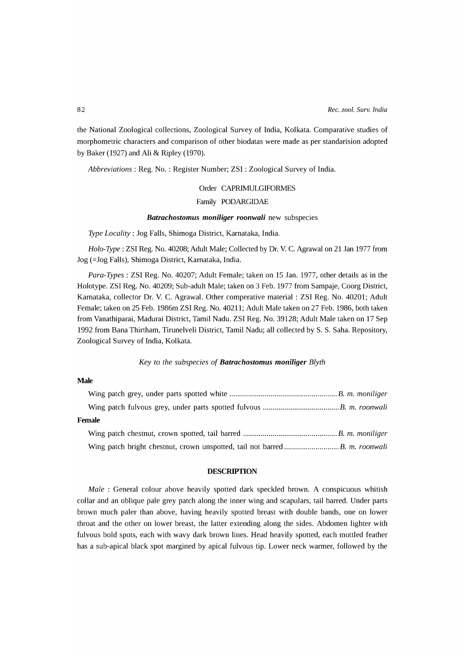the National Zoological collections, Zoological Survey of India, Kolkata. Comparative studies of morphometric characters and comparison of other biodatas were made as per standarision adopted by Baker (1927) and Ali & Ripley (1970).

*Abbreviations:* Reg. No. : Register Number; ZSI : Zoological Survey of India.

# Order CAPRIMULGIFORMES

### Family PODARGIDAE

#### *Batrachostomus moniliger roonwali* new subspecies

*Type Locality:* Jog Falls, Shimoga District, Karnataka, India.

*Holo-Type:* ZSI Reg. No. 40208; Adult Male; Collected by Dr. V. C. Agrawal on 21 Jan 1977 from Jog (=Jog Falls), Shimoga District, Karnataka, India.

*Para-Types:* ZSI Reg. No. 40207; Adult Female; taken on 15 Jan. 1977, other details as in the Holotype. ZSI Reg. No. 40209; Sub-adult Male; taken on 3 Feb. 1977 from Sampaje, Coorg District, Karnataka, collector Dr. V. C. Agrawal. Other comperative material: ZSI Reg. No. 40201; Adult Female; taken on 25 Feb. 1986m ZSI Reg. No. 40211; Adult Male taken on 27 Feb. 1986, both taken from Vanathiparai, Madurai District, Tamil Nadu. ZSI Reg. No. 39128; Adult Male taken on 17 Sep 1992 from Bana Thirtham, Tirunelveli District, Tamil Nadu; all collected by S. S. Saha. Repository, Zoological Survey of India, Kolkata.

#### *Key to the subspecies* of *Batrachostomus moniliger Blyth*

#### **Male**

| Female |  |
|--------|--|
|        |  |
|        |  |

#### **DESCRIPTION**

*Male* : General colour above heavily spotted dark speckled brown. A conspicuous whitish collar and an oblique pale grey patch along the inner wing and scapulars, tail barred. Under parts brown much paler than above, having heavily spotted breast with double bands, one on lower throat and the other on lower breast, the latter extending along the sides. Abdomen lighter with fulvous bold spots, each with wavy dark brown lines. Head heavily spotted, each mottled feather has a sub-apical black spot margined by apical fulvous tip. Lower neck warmer, followed by the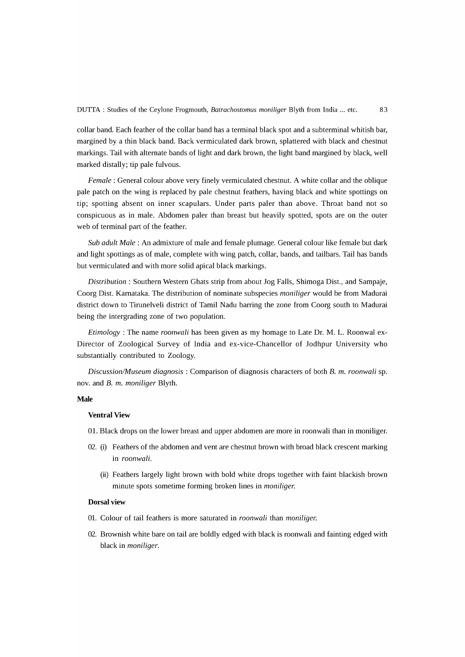collar band. Each feather of the collar band has a terminal black spot and a subterminal whitish bar, margined by a thin black band. Back vermiculated dark brown, splattered with black and chestnut markings. Tail with alternate bands of light and dark brown, the light band margined by black, well marked distally; tip pale fulvous.

*Female:* General colour above very finely vermiculated chestnut. A white collar and the oblique pale patch on the wing is replaced by pale chestnut feathers, having black and white spottings on tip; spotting absent on inner scapulars. Under parts paler than above. Throat band not so conspicuous as in male. Abdomen paler than breast but heavily spotted, spots are on the outer web of terminal part of the feather.

*Sub adult Male:* An admixture of male and female plumage. General colour like female but dark and light spottings as of male, complete with wing patch, collar, bands, and tailbars. Tail has bands but vermiculated and with more solid apical black markings.

*Distribution:* Southern Western Ghats strip from about Jog Falls, Shimoga Dist., and Sampaje, Coorg Dist. Karnataka. The distribution of nominate subspecies *moniliger* would be from Madurai district down to Tirunelveli district of Tamil Nadu barring the zone from Coorg south to Madurai being the intergrading zone of two population.

*Etimology* : The name *roonwali* has been given as my homage to Late Dr. M. L. Roonwal ex-Director of Zoological Survey of India and ex-vice-Chancellor of Jodhpur University who substantially contributed to Zoology.

*Discussion/Museum diagnosis:* Comparison of diagnosis characters of both B. m. *roonwali* sp. nov. and B. m. *moniliger* Blyth.

#### **Male**

#### **Ventral View**

- 01. Black drops on the lower breast and upper abdomen are more in roonwali than in moniliger.
- 02. (i) Feathers of the abdomen and vent are chestnut brown with broad black crescent marking in *roonwali.* 
	- (ii) Feathers largely light brown with bold white drops together with faint blackish brown minute spots sometime forming broken lines in *moniliger.*

#### **Dorsal view**

- 01. Colour of tail feathers is more saturated in *roonwali* than *moniliger.*
- 02. Brownish white bare on tail are boldly edged with black is roonwali and fainting edged with black in *moniliger.*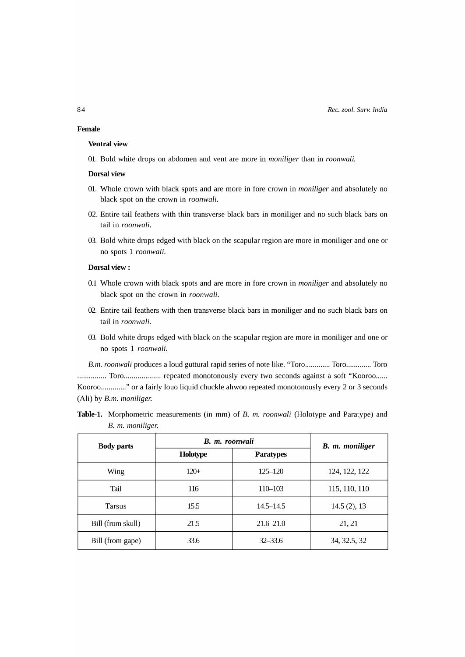#### **Female**

#### **Ventral view**

01. Bold white drops on abdomen and vent are more in *moniliger* than in *roonwali.* 

#### **Dorsal view**

- 01. Whole crown with black spots and are more in fore crown in *moniliger* and absolutely no black spot on the crown in *roonwali.*
- 02. Entire tail feathers with thin transverse black bars in moniliger and no such black bars on tail in *roonwali.*
- 03. Bold white drops edged with black on the scapular region are more in moniliger and one or no spots 1 *roonwali.*

#### **Dorsal view:**

- 0.1 Whole crown with black spots and are more in fore crown in *moniliger* and absolutely no black spot on the crown in *roonwali.*
- 02. Entire tail feathers with then transverse black bars in moniliger and no such black bars on tail in *roonwali.*
- 03. Bold white drops edged with black on the scapular region are more in moniliger and one or no spots 1 *roonwali.*

*B.m. roonwali produces a loud guttural rapid series of note like. "Toro............. Toro.............. Toro* ............... Toro ................... repeated monotonously every two seconds against a soft "Kooroo ..... . Kooroo ............. " or a fairly louo liquid chuckle ahwoo repeated monotonously every 2 or 3 seconds (Ali) by *B.m. moniliger.* 

**Table-I.** Morphometric measurements (in mm) of B. m. *roonwali* (Holotype and Paratype) and B. m. *moniliger.* 

| <b>Body parts</b> | B. m. roonwali | B. m. moniliger  |               |  |
|-------------------|----------------|------------------|---------------|--|
|                   | Holotype       | <b>Paratypes</b> |               |  |
| Wing              | $120+$         | $125 - 120$      | 124, 122, 122 |  |
| Tail              | 116            | 110-103          | 115, 110, 110 |  |
| Tarsus            | 15.5           | 14.5–14.5        | 14.5(2), 13   |  |
| Bill (from skull) | 21.5           | $21.6 - 21.0$    | 21, 21        |  |
| Bill (from gape)  | 33.6           | $32 - 33.6$      | 34, 32.5, 32  |  |